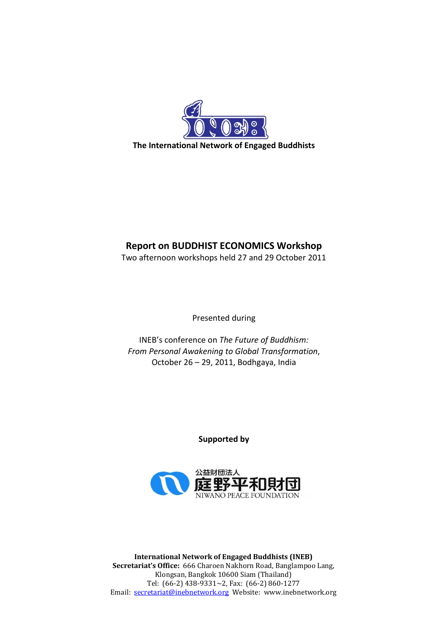

# **Report on BUDDHIST ECONOMICS Workshop**

Two afternoon workshops held 27 and 29 October 2011

Presented during

INEB's conference on *The Future of Buddhism: From Personal Awakening to Global Transformation*, October 26 – 29, 2011, Bodhgaya, India

**Supported by**



**International Network of Engaged Buddhists (INEB) Secretariat's Office:** 666 Charoen Nakhorn Road, Banglampoo Lang, Klongsan, Bangkok 10600 Siam (Thailand) Tel: (66-2) 438-9331~2, Fax: (66-2) 860-1277 Email: [secretariat@inebnetwork.org](mailto:secretariat@inebnetwork.org) Website: www.inebnetwork.org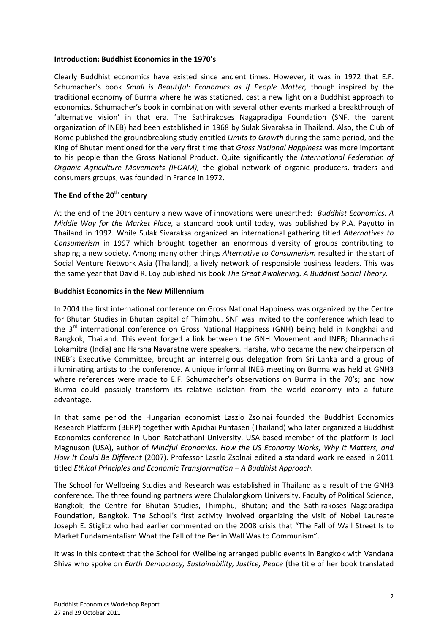#### **Introduction: Buddhist Economics in the 1970's**

Clearly Buddhist economics have existed since ancient times. However, it was in 1972 that E.F. Schumacher's book *Small is Beautiful: Economics as if People Matter,* though inspired by the traditional economy of Burma where he was stationed, cast a new light on a Buddhist approach to economics. Schumacher's book in combination with several other events marked a breakthrough of 'alternative vision' in that era. The Sathirakoses Nagapradipa Foundation (SNF, the parent organization of INEB) had been established in 1968 by Sulak Sivaraksa in Thailand. Also, the Club of Rome published the groundbreaking study entitled *Limits to Growth* during the same period, and the King of Bhutan mentioned for the very first time that *Gross National Happiness* was more important to his people than the Gross National Product. Quite significantly the *International Federation of Organic Agriculture Movements (IFOAM),* the global network of organic producers, traders and consumers groups, was founded in France in 1972.

## **The End of the 20th century**

At the end of the 20th century a new wave of innovations were unearthed: *Buddhist Economics. A Middle Way for the Market Place,* a standard book until today, was published by P.A. Payutto in Thailand in 1992. While Sulak Sivaraksa organized an international gathering titled *Alternatives to Consumerism* in 1997 which brought together an enormous diversity of groups contributing to shaping a new society. Among many other things *Alternative to Consumerism* resulted in the start of Social Venture Network Asia (Thailand), a lively network of responsible business leaders. This was the same year that David R. Loy published his book *The Great Awakening. A Buddhist Social Theory.*

### **Buddhist Economics in the New Millennium**

In 2004 the first international conference on Gross National Happiness was organized by the Centre for Bhutan Studies in Bhutan capital of Thimphu. SNF was invited to the conference which lead to the 3<sup>rd</sup> international conference on Gross National Happiness (GNH) being held in Nongkhai and Bangkok, Thailand. This event forged a link between the GNH Movement and INEB; Dharmachari Lokamitra (India) and Harsha Navaratne were speakers. Harsha, who became the new chairperson of INEB's Executive Committee, brought an interreligious delegation from Sri Lanka and a group of illuminating artists to the conference. A unique informal INEB meeting on Burma was held at GNH3 where references were made to E.F. Schumacher's observations on Burma in the 70's; and how Burma could possibly transform its relative isolation from the world economy into a future advantage.

In that same period the Hungarian economist Laszlo Zsolnai founded the Buddhist Economics Research Platform (BERP) together with Apichai Puntasen (Thailand) who later organized a Buddhist Economics conference in Ubon Ratchathani University. USA-based member of the platform is Joel Magnuson (USA), author of *Mindful Economics. How the US Economy Works, Why It Matters, and How It Could Be Different* (2007). Professor Laszlo Zsolnai edited a standard work released in 2011 titled *Ethical Principles and Economic Transformation – A Buddhist Approach.*

The School for Wellbeing Studies and Research was established in Thailand as a result of the GNH3 conference. The three founding partners were Chulalongkorn University, Faculty of Political Science, Bangkok; the Centre for Bhutan Studies, Thimphu, Bhutan; and the Sathirakoses Nagapradipa Foundation, Bangkok. The School's first activity involved organizing the visit of Nobel Laureate Joseph E. Stiglitz who had earlier commented on the 2008 crisis that "The Fall of Wall Street Is to Market Fundamentalism What the Fall of the Berlin Wall Was to Communism".

It was in this context that the School for Wellbeing arranged public events in Bangkok with Vandana Shiva who spoke on *Earth Democracy, Sustainability, Justice, Peace* (the title of her book translated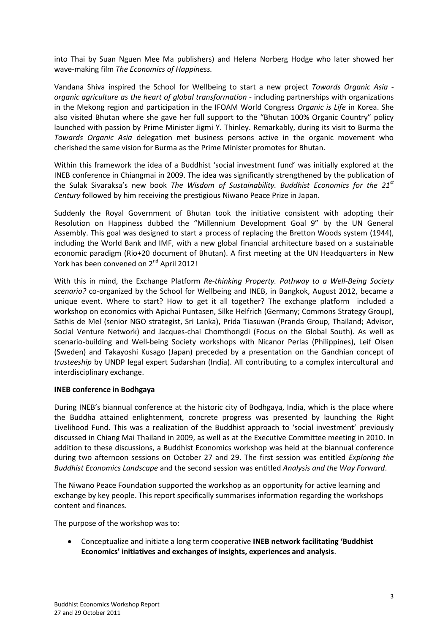into Thai by Suan Nguen Mee Ma publishers) and Helena Norberg Hodge who later showed her wave-making film *The Economics of Happiness.*

Vandana Shiva inspired the School for Wellbeing to start a new project *Towards Organic Asia organic agriculture as the heart of global transformation* - including partnerships with organizations in the Mekong region and participation in the IFOAM World Congress *Organic is Life* in Korea. She also visited Bhutan where she gave her full support to the "Bhutan 100% Organic Country" policy launched with passion by Prime Minister Jigmi Y. Thinley. Remarkably, during its visit to Burma the *Towards Organic Asia* delegation met business persons active in the organic movement who cherished the same vision for Burma as the Prime Minister promotes for Bhutan.

Within this framework the idea of a Buddhist 'social investment fund' was initially explored at the INEB conference in Chiangmai in 2009. The idea was significantly strengthened by the publication of the Sulak Sivaraksa's new book *The Wisdom of Sustainability. Buddhist Economics for the 21st Century* followed by him receiving the prestigious Niwano Peace Prize in Japan.

Suddenly the Royal Government of Bhutan took the initiative consistent with adopting their Resolution on Happiness dubbed the "Millennium Development Goal 9" by the UN General Assembly. This goal was designed to start a process of replacing the Bretton Woods system (1944), including the World Bank and IMF, with a new global financial architecture based on a sustainable economic paradigm (Rio+20 document of Bhutan). A first meeting at the UN Headquarters in New York has been convened on 2<sup>nd</sup> April 2012!

With this in mind, the Exchange Platform *Re-thinking Property. Pathway to a Well-Being Society scenario?* co-organized by the School for Wellbeing and INEB, in Bangkok, August 2012, became a unique event. Where to start? How to get it all together? The exchange platform included a workshop on economics with Apichai Puntasen, Silke Helfrich (Germany; Commons Strategy Group), Sathis de Mel (senior NGO strategist, Sri Lanka), Prida Tiasuwan (Pranda Group, Thailand; Advisor, Social Venture Network) and Jacques-chai Chomthongdi (Focus on the Global South). As well as scenario-building and Well-being Society workshops with Nicanor Perlas (Philippines), Leif Olsen (Sweden) and Takayoshi Kusago (Japan) preceded by a presentation on the Gandhian concept of *trusteeship* by UNDP legal expert Sudarshan (India). All contributing to a complex intercultural and interdisciplinary exchange.

### **INEB conference in Bodhgaya**

During INEB's biannual conference at the historic city of Bodhgaya, India, which is the place where the Buddha attained enlightenment, concrete progress was presented by launching the Right Livelihood Fund. This was a realization of the Buddhist approach to 'social investment' previously discussed in Chiang Mai Thailand in 2009, as well as at the Executive Committee meeting in 2010. In addition to these discussions, a Buddhist Economics workshop was held at the biannual conference during two afternoon sessions on October 27 and 29. The first session was entitled *Exploring the Buddhist Economics Landscape* and the second session was entitled *Analysis and the Way Forward*.

The Niwano Peace Foundation supported the workshop as an opportunity for active learning and exchange by key people. This report specifically summarises information regarding the workshops content and finances.

The purpose of the workshop was to:

Conceptualize and initiate a long term cooperative **INEB network facilitating 'Buddhist**   $\bullet$ **Economics' initiatives and exchanges of insights, experiences and analysis**.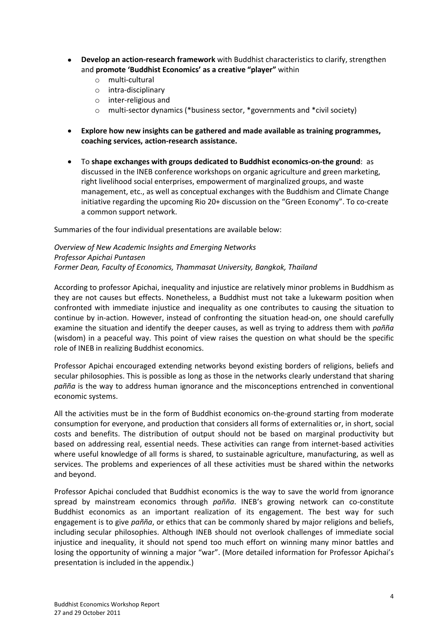- **Develop an action-research framework** with Buddhist characteristics to clarify, strengthen  $\bullet$ and **promote 'Buddhist Economics' as a creative "player"** within
	- o multi-cultural
	- o intra-disciplinary
	- o inter-religious and
	- o multi-sector dynamics (\*business sector, \*governments and \*civil society)
- **Explore how new insights can be gathered and made available as training programmes, coaching services, action-research assistance.**
- To **shape exchanges with groups dedicated to Buddhist economics-on-the ground**: as discussed in the INEB conference workshops on organic agriculture and green marketing, right livelihood social enterprises, empowerment of marginalized groups, and waste management, etc., as well as conceptual exchanges with the Buddhism and Climate Change initiative regarding the upcoming Rio 20+ discussion on the "Green Economy". To co-create a common support network.

Summaries of the four individual presentations are available below:

*Overview of New Academic Insights and Emerging Networks Professor Apichai Puntasen Former Dean, Faculty of Economics, Thammasat University, Bangkok, Thailand*

According to professor Apichai, inequality and injustice are relatively minor problems in Buddhism as they are not causes but effects. Nonetheless, a Buddhist must not take a lukewarm position when confronted with immediate injustice and inequality as one contributes to causing the situation to continue by in-action. However, instead of confronting the situation head-on, one should carefully examine the situation and identify the deeper causes, as well as trying to address them with *pañña*  (wisdom) in a peaceful way. This point of view raises the question on what should be the specific role of INEB in realizing Buddhist economics.

Professor Apichai encouraged extending networks beyond existing borders of religions, beliefs and secular philosophies. This is possible as long as those in the networks clearly understand that sharing *pañña* is the way to address human ignorance and the misconceptions entrenched in conventional economic systems.

All the activities must be in the form of Buddhist economics on-the-ground starting from moderate consumption for everyone, and production that considers all forms of externalities or, in short, social costs and benefits. The distribution of output should not be based on marginal productivity but based on addressing real, essential needs. These activities can range from internet-based activities where useful knowledge of all forms is shared, to sustainable agriculture, manufacturing, as well as services. The problems and experiences of all these activities must be shared within the networks and beyond.

Professor Apichai concluded that Buddhist economics is the way to save the world from ignorance spread by mainstream economics through *pañña*. INEB's growing network can co-constitute Buddhist economics as an important realization of its engagement. The best way for such engagement is to give *pañña*, or ethics that can be commonly shared by major religions and beliefs, including secular philosophies. Although INEB should not overlook challenges of immediate social injustice and inequality, it should not spend too much effort on winning many minor battles and losing the opportunity of winning a major "war". (More detailed information for Professor Apichai's presentation is included in the appendix.)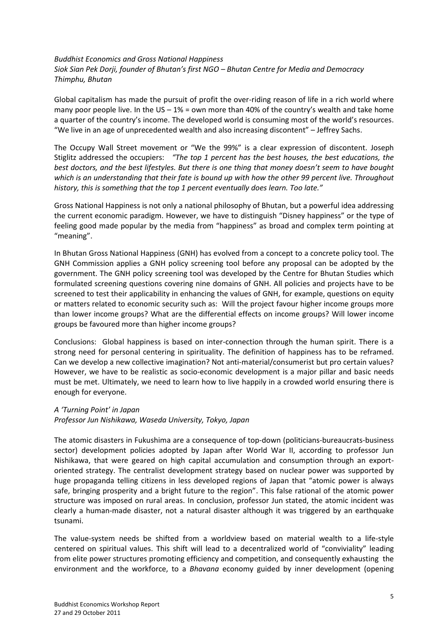### *Buddhist Economics and Gross National Happiness Siok Sian Pek Dorji, founder of Bhutan's first NGO – Bhutan Centre for Media and Democracy Thimphu, Bhutan*

Global capitalism has made the pursuit of profit the over-riding reason of life in a rich world where many poor people live. In the US –  $1\%$  = own more than 40% of the country's wealth and take home a quarter of the country's income. The developed world is consuming most of the world's resources. "We live in an age of unprecedented wealth and also increasing discontent" – Jeffrey Sachs.

The Occupy Wall Street movement or "We the 99%" is a clear expression of discontent. Joseph Stiglitz addressed the occupiers: *"The top 1 percent has the best houses, the best educations, the best doctors, and the best lifestyles. But there is one thing that money doesn't seem to have bought which is an understanding that their fate is bound up with how the other 99 percent live. Throughout history, this is something that the top 1 percent eventually does learn. Too late."*

Gross National Happiness is not only a national philosophy of Bhutan, but a powerful idea addressing the current economic paradigm. However, we have to distinguish "Disney happiness" or the type of feeling good made popular by the media from "happiness" as broad and complex term pointing at "meaning".

In Bhutan Gross National Happiness (GNH) has evolved from a concept to a concrete policy tool. The GNH Commission applies a GNH policy screening tool before any proposal can be adopted by the government. The GNH policy screening tool was developed by the Centre for Bhutan Studies which formulated screening questions covering nine domains of GNH. All policies and projects have to be screened to test their applicability in enhancing the values of GNH, for example, questions on equity or matters related to economic security such as: Will the project favour higher income groups more than lower income groups? What are the differential effects on income groups? Will lower income groups be favoured more than higher income groups?

Conclusions: Global happiness is based on inter-connection through the human spirit. There is a strong need for personal centering in spirituality. The definition of happiness has to be reframed. Can we develop a new collective imagination? Not anti-material/consumerist but pro certain values? However, we have to be realistic as socio-economic development is a major pillar and basic needs must be met. Ultimately, we need to learn how to live happily in a crowded world ensuring there is enough for everyone.

### *A 'Turning Point' in Japan*

*Professor Jun Nishikawa, Waseda University, Tokyo, Japan*

The atomic disasters in Fukushima are a consequence of top-down (politicians-bureaucrats-business sector) development policies adopted by Japan after World War II, according to professor Jun Nishikawa, that were geared on high capital accumulation and consumption through an exportoriented strategy. The centralist development strategy based on nuclear power was supported by huge propaganda telling citizens in less developed regions of Japan that "atomic power is always safe, bringing prosperity and a bright future to the region". This false rational of the atomic power structure was imposed on rural areas. In conclusion, professor Jun stated, the atomic incident was clearly a human-made disaster, not a natural disaster although it was triggered by an earthquake tsunami.

The value-system needs be shifted from a worldview based on material wealth to a life-style centered on spiritual values. This shift will lead to a decentralized world of "conviviality" leading from elite power structures promoting efficiency and competition, and consequently exhausting the environment and the workforce, to a *Bhavana* economy guided by inner development (opening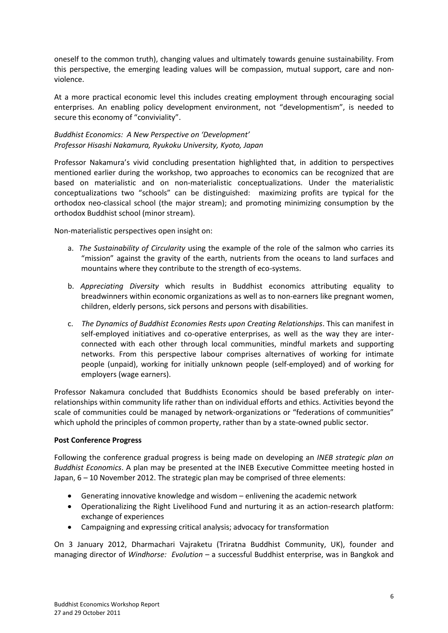oneself to the common truth), changing values and ultimately towards genuine sustainability. From this perspective, the emerging leading values will be compassion, mutual support, care and nonviolence.

At a more practical economic level this includes creating employment through encouraging social enterprises. An enabling policy development environment, not "developmentism", is needed to secure this economy of "conviviality".

### *Buddhist Economics: A New Perspective on 'Development' Professor Hisashi Nakamura, Ryukoku University, Kyoto, Japan*

Professor Nakamura's vivid concluding presentation highlighted that, in addition to perspectives mentioned earlier during the workshop, two approaches to economics can be recognized that are based on materialistic and on non-materialistic conceptualizations. Under the materialistic conceptualizations two "schools" can be distinguished: maximizing profits are typical for the orthodox neo-classical school (the major stream); and promoting minimizing consumption by the orthodox Buddhist school (minor stream).

Non-materialistic perspectives open insight on:

- a. *The Sustainability of Circularity* using the example of the role of the salmon who carries its "mission" against the gravity of the earth, nutrients from the oceans to land surfaces and mountains where they contribute to the strength of eco-systems.
- b. *Appreciating Diversity* which results in Buddhist economics attributing equality to breadwinners within economic organizations as well as to non-earners like pregnant women, children, elderly persons, sick persons and persons with disabilities.
- c. *The Dynamics of Buddhist Economies Rests upon Creating Relationships*. This can manifest in self-employed initiatives and co-operative enterprises, as well as the way they are interconnected with each other through local communities, mindful markets and supporting networks. From this perspective labour comprises alternatives of working for intimate people (unpaid), working for initially unknown people (self-employed) and of working for employers (wage earners).

Professor Nakamura concluded that Buddhists Economics should be based preferably on interrelationships within community life rather than on individual efforts and ethics. Activities beyond the scale of communities could be managed by network-organizations or "federations of communities" which uphold the principles of common property, rather than by a state-owned public sector.

### **Post Conference Progress**

Following the conference gradual progress is being made on developing an *INEB strategic plan on Buddhist Economics*. A plan may be presented at the INEB Executive Committee meeting hosted in Japan, 6 – 10 November 2012. The strategic plan may be comprised of three elements:

- Generating innovative knowledge and wisdom enlivening the academic network
- Operationalizing the Right Livelihood Fund and nurturing it as an action-research platform: exchange of experiences
- Campaigning and expressing critical analysis; advocacy for transformation

On 3 January 2012, Dharmachari Vajraketu (Triratna Buddhist Community, UK), founder and managing director of *Windhorse: Evolution* – a successful Buddhist enterprise, was in Bangkok and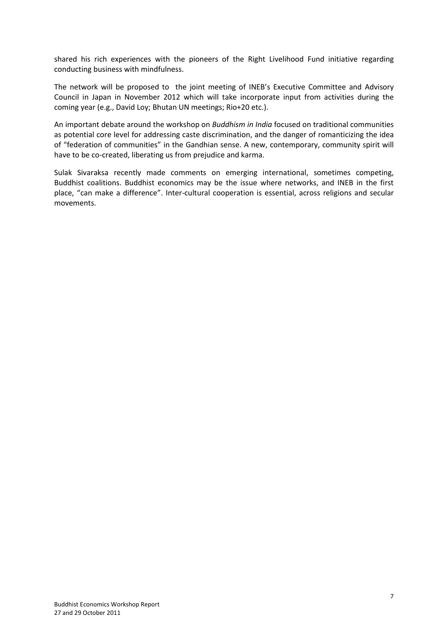shared his rich experiences with the pioneers of the Right Livelihood Fund initiative regarding conducting business with mindfulness.

The network will be proposed to the joint meeting of INEB's Executive Committee and Advisory Council in Japan in November 2012 which will take incorporate input from activities during the coming year (e.g., David Loy; Bhutan UN meetings; Rio+20 etc.).

An important debate around the workshop on *Buddhism in India* focused on traditional communities as potential core level for addressing caste discrimination, and the danger of romanticizing the idea of "federation of communities" in the Gandhian sense. A new, contemporary, community spirit will have to be co-created, liberating us from prejudice and karma.

Sulak Sivaraksa recently made comments on emerging international, sometimes competing, Buddhist coalitions. Buddhist economics may be the issue where networks, and INEB in the first place, "can make a difference". Inter-cultural cooperation is essential, across religions and secular movements.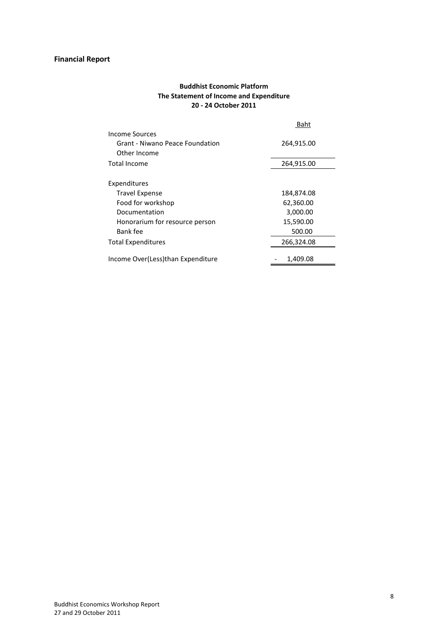# **Financial Report**

### **Buddhist Economic Platform The Statement of Income and Expenditure 20 - 24 October 2011**

|                                   | Baht       |
|-----------------------------------|------------|
| Income Sources                    |            |
| Grant - Niwano Peace Foundation   | 264,915.00 |
| Other Income                      |            |
| Total Income                      | 264,915.00 |
|                                   |            |
| Expenditures                      |            |
| <b>Travel Expense</b>             | 184,874.08 |
| Food for workshop                 | 62,360.00  |
| Documentation                     | 3,000.00   |
| Honorarium for resource person    | 15,590.00  |
| Bank fee                          | 500.00     |
| Total Expenditures                | 266,324.08 |
| Income Over(Less)than Expenditure | 1,409.08   |
|                                   |            |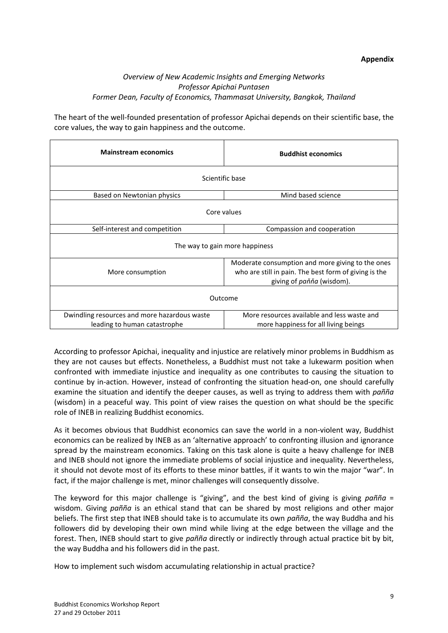### **Appendix**

### *Overview of New Academic Insights and Emerging Networks Professor Apichai Puntasen Former Dean, Faculty of Economics, Thammasat University, Bangkok, Thailand*

The heart of the well-founded presentation of professor Apichai depends on their scientific base, the core values, the way to gain happiness and the outcome.

| <b>Mainstream economics</b>                                                  | <b>Buddhist economics</b>                                                                                                              |  |
|------------------------------------------------------------------------------|----------------------------------------------------------------------------------------------------------------------------------------|--|
| Scientific base                                                              |                                                                                                                                        |  |
| Based on Newtonian physics                                                   | Mind based science                                                                                                                     |  |
| Core values                                                                  |                                                                                                                                        |  |
| Self-interest and competition                                                | Compassion and cooperation                                                                                                             |  |
| The way to gain more happiness                                               |                                                                                                                                        |  |
| More consumption                                                             | Moderate consumption and more giving to the ones<br>who are still in pain. The best form of giving is the<br>giving of paňňa (wisdom). |  |
| Outcome                                                                      |                                                                                                                                        |  |
| Dwindling resources and more hazardous waste<br>leading to human catastrophe | More resources available and less waste and<br>more happiness for all living beings                                                    |  |

According to professor Apichai, inequality and injustice are relatively minor problems in Buddhism as they are not causes but effects. Nonetheless, a Buddhist must not take a lukewarm position when confronted with immediate injustice and inequality as one contributes to causing the situation to continue by in-action. However, instead of confronting the situation head-on, one should carefully examine the situation and identify the deeper causes, as well as trying to address them with *pañña*  (wisdom) in a peaceful way. This point of view raises the question on what should be the specific role of INEB in realizing Buddhist economics.

As it becomes obvious that Buddhist economics can save the world in a non-violent way, Buddhist economics can be realized by INEB as an 'alternative approach' to confronting illusion and ignorance spread by the mainstream economics. Taking on this task alone is quite a heavy challenge for INEB and INEB should not ignore the immediate problems of social injustice and inequality. Nevertheless, it should not devote most of its efforts to these minor battles, if it wants to win the major "war". In fact, if the major challenge is met, minor challenges will consequently dissolve.

The keyword for this major challenge is "giving", and the best kind of giving is giving *pañña* = wisdom. Giving *pañña* is an ethical stand that can be shared by most religions and other major beliefs. The first step that INEB should take is to accumulate its own *pañña*, the way Buddha and his followers did by developing their own mind while living at the edge between the village and the forest. Then, INEB should start to give *pañña* directly or indirectly through actual practice bit by bit, the way Buddha and his followers did in the past.

How to implement such wisdom accumulating relationship in actual practice?